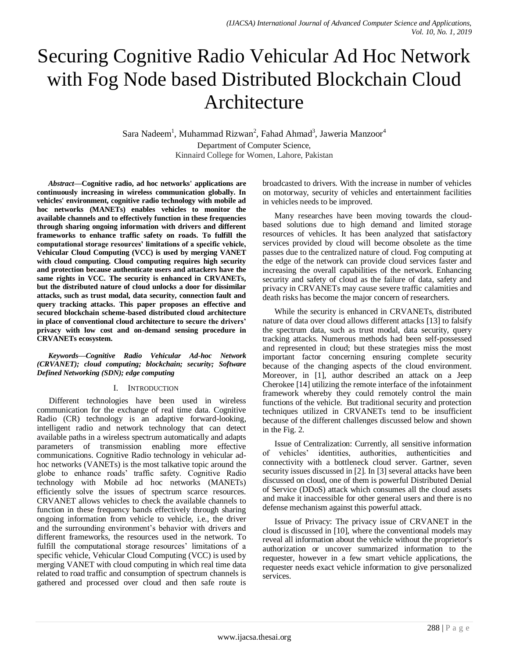# Securing Cognitive Radio Vehicular Ad Hoc Network with Fog Node based Distributed Blockchain Cloud Architecture

Sara Nadeem<sup>1</sup>, Muhammad Rizwan<sup>2</sup>, Fahad Ahmad<sup>3</sup>, Jaweria Manzoor<sup>4</sup> Department of Computer Science,

Kinnaird College for Women, Lahore, Pakistan

*Abstract***—Cognitive radio, ad hoc networks' applications are continuously increasing in wireless communication globally. In vehicles' environment, cognitive radio technology with mobile ad hoc networks (MANETs) enables vehicles to monitor the available channels and to effectively function in these frequencies through sharing ongoing information with drivers and different frameworks to enhance traffic safety on roads. To fulfill the computational storage resources' limitations of a specific vehicle, Vehicular Cloud Computing (VCC) is used by merging VANET with cloud computing. Cloud computing requires high security and protection because authenticate users and attackers have the same rights in VCC. The security is enhanced in CRVANETs, but the distributed nature of cloud unlocks a door for dissimilar attacks, such as trust modal, data security, connection fault and query tracking attacks. This paper proposes an effective and secured blockchain scheme-based distributed cloud architecture in place of conventional cloud architecture to secure the drivers' privacy with low cost and on-demand sensing procedure in CRVANETs ecosystem.**

#### *Keywords—Cognitive Radio Vehicular Ad-hoc Network (CRVANET); cloud computing; blockchain; security; Software Defined Networking (SDN); edge computing*

### I. INTRODUCTION

Different technologies have been used in wireless communication for the exchange of real time data. Cognitive Radio (CR) technology is an adaptive forward-looking, intelligent radio and network technology that can detect available paths in a wireless spectrum automatically and adapts parameters of transmission enabling more effective communications. Cognitive Radio technology in vehicular adhoc networks (VANETs) is the most talkative topic around the globe to enhance roads' traffic safety. Cognitive Radio technology with Mobile ad hoc networks (MANETs) efficiently solve the issues of spectrum scarce resources. CRVANET allows vehicles to check the available channels to function in these frequency bands effectively through sharing ongoing information from vehicle to vehicle, i.e., the driver and the surrounding environment's behavior with drivers and different frameworks, the resources used in the network. To fulfill the computational storage resources' limitations of a specific vehicle, Vehicular Cloud Computing (VCC) is used by merging VANET with cloud computing in which real time data related to road traffic and consumption of spectrum channels is gathered and processed over cloud and then safe route is broadcasted to drivers. With the increase in number of vehicles on motorway, security of vehicles and entertainment facilities in vehicles needs to be improved.

Many researches have been moving towards the cloudbased solutions due to high demand and limited storage resources of vehicles. It has been analyzed that satisfactory services provided by cloud will become obsolete as the time passes due to the centralized nature of cloud. Fog computing at the edge of the network can provide cloud services faster and increasing the overall capabilities of the network. Enhancing security and safety of cloud as the failure of data, safety and privacy in CRVANETs may cause severe traffic calamities and death risks has become the major concern of researchers.

While the security is enhanced in CRVANETs, distributed nature of data over cloud allows different attacks [13] to falsify the spectrum data, such as trust modal, data security, query tracking attacks. Numerous methods had been self-possessed and represented in cloud; but these strategies miss the most important factor concerning ensuring complete security because of the changing aspects of the cloud environment. Moreover, in [1], author described an attack on a Jeep Cherokee [14] utilizing the remote interface of the infotainment framework whereby they could remotely control the main functions of the vehicle. But traditional security and protection techniques utilized in CRVANETs tend to be insufficient because of the different challenges discussed below and shown in the Fig. 2.

Issue of Centralization: Currently, all sensitive information of vehicles' identities, authorities, authenticities and connectivity with a bottleneck cloud server. Gartner, seven security issues discussed in [2]. In [3] several attacks have been discussed on cloud, one of them is powerful Distributed Denial of Service (DDoS) attack which consumes all the cloud assets and make it inaccessible for other general users and there is no defense mechanism against this powerful attack.

Issue of Privacy: The privacy issue of CRVANET in the cloud is discussed in [10], where the conventional models may reveal all information about the vehicle without the proprietor's authorization or uncover summarized information to the requester, however in a few smart vehicle applications, the requester needs exact vehicle information to give personalized services.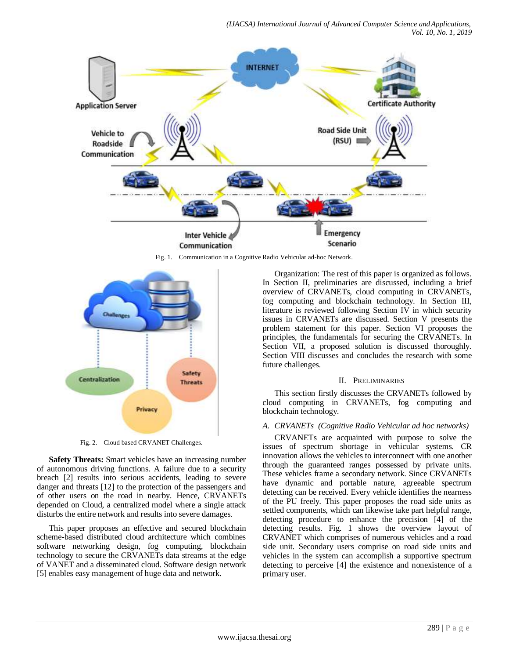

Fig. 1. Communication in a Cognitive Radio Vehicular ad-hoc Network.



Fig. 2. Cloud based CRVANET Challenges.

**Safety Threats:** Smart vehicles have an increasing number of autonomous driving functions. A failure due to a security breach [2] results into serious accidents, leading to severe danger and threats [12] to the protection of the passengers and of other users on the road in nearby. Hence, CRVANETs depended on Cloud, a centralized model where a single attack disturbs the entire network and results into severe damages.

This paper proposes an effective and secured blockchain scheme-based distributed cloud architecture which combines software networking design, fog computing, blockchain technology to secure the CRVANETs data streams at the edge of VANET and a disseminated cloud. Software design network [5] enables easy management of huge data and network.

Organization: The rest of this paper is organized as follows. In Section II, preliminaries are discussed, including a brief overview of CRVANETs, cloud computing in CRVANETs, fog computing and blockchain technology. In Section III, literature is reviewed following Section IV in which security issues in CRVANETs are discussed. Section V presents the problem statement for this paper. Section VI proposes the principles, the fundamentals for securing the CRVANETs. In Section VII, a proposed solution is discussed thoroughly. Section VIII discusses and concludes the research with some future challenges.

### II. PRELIMINARIES

This section firstly discusses the CRVANETs followed by cloud computing in CRVANETs, fog computing and blockchain technology.

## *A. CRVANETs (Cognitive Radio Vehicular ad hoc networks)*

CRVANETs are acquainted with purpose to solve the issues of spectrum shortage in vehicular systems. CR innovation allows the vehicles to interconnect with one another through the guaranteed ranges possessed by private units. These vehicles frame a secondary network. Since CRVANETs have dynamic and portable nature, agreeable spectrum detecting can be received. Every vehicle identifies the nearness of the PU freely. This paper proposes the road side units as settled components, which can likewise take part helpful range, detecting procedure to enhance the precision [4] of the detecting results. Fig. 1 shows the overview layout of CRVANET which comprises of numerous vehicles and a road side unit. Secondary users comprise on road side units and vehicles in the system can accomplish a supportive spectrum detecting to perceive [4] the existence and nonexistence of a primary user.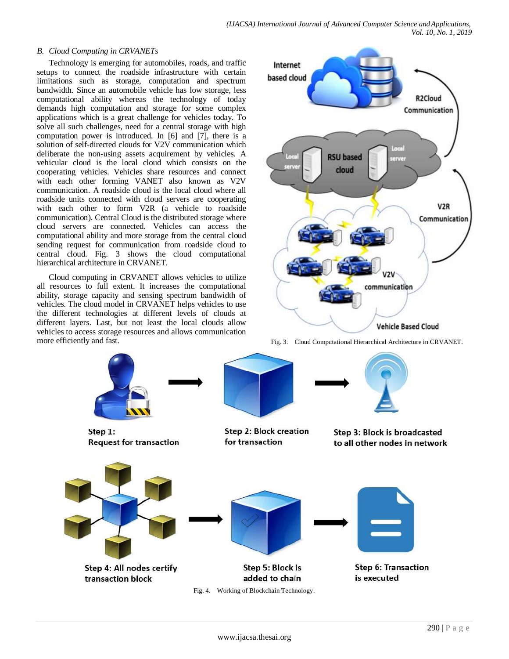## *B. Cloud Computing in CRVANETs*

Technology is emerging for automobiles, roads, and traffic setups to connect the roadside infrastructure with certain limitations such as storage, computation and spectrum bandwidth. Since an automobile vehicle has low storage, less computational ability whereas the technology of today demands high computation and storage for some complex applications which is a great challenge for vehicles today. To solve all such challenges, need for a central storage with high computation power is introduced. In [6] and [7], there is a solution of self-directed clouds for V2V communication which deliberate the non-using assets acquirement by vehicles. A vehicular cloud is the local cloud which consists on the cooperating vehicles. Vehicles share resources and connect with each other forming VANET also known as V2V communication. A roadside cloud is the local cloud where all roadside units connected with cloud servers are cooperating with each other to form V2R (a vehicle to roadside communication). Central Cloud is the distributed storage where cloud servers are connected. Vehicles can access the computational ability and more storage from the central cloud sending request for communication from roadside cloud to central cloud. Fig. 3 shows the cloud computational hierarchical architecture in CRVANET.

Cloud computing in CRVANET allows vehicles to utilize all resources to full extent. It increases the computational ability, storage capacity and sensing spectrum bandwidth of vehicles. The cloud model in CRVANET helps vehicles to use the different technologies at different levels of clouds at different layers. Last, but not least the local clouds allow vehicles to access storage resources and allows communication more efficiently and fast. The fig. 3. Cloud Computational Hierarchical Architecture in CRVANET.

transaction block





is executed

Fig. 4. Working of Blockchain Technology.

added to chain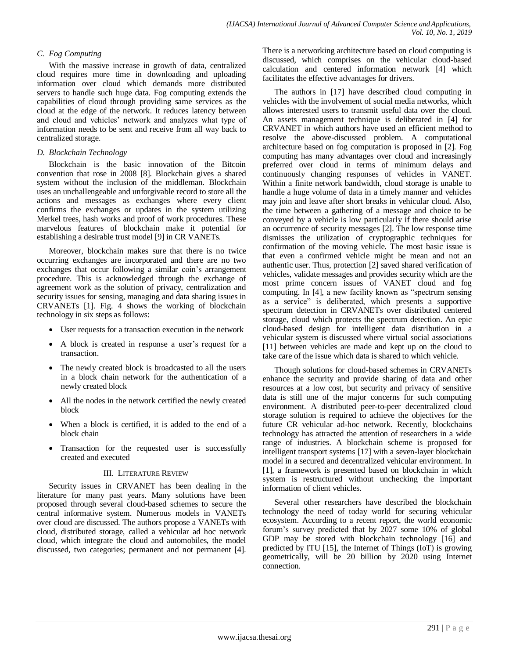## *C. Fog Computing*

With the massive increase in growth of data, centralized cloud requires more time in downloading and uploading information over cloud which demands more distributed servers to handle such huge data. Fog computing extends the capabilities of cloud through providing same services as the cloud at the edge of the network. It reduces latency between and cloud and vehicles' network and analyzes what type of information needs to be sent and receive from all way back to centralized storage.

## *D. Blockchain Technology*

Blockchain is the basic innovation of the Bitcoin convention that rose in 2008 [8]. Blockchain gives a shared system without the inclusion of the middleman. Blockchain uses an unchallengeable and unforgivable record to store all the actions and messages as exchanges where every client confirms the exchanges or updates in the system utilizing Merkel trees, hash works and proof of work procedures. These marvelous features of blockchain make it potential for establishing a desirable trust model [9] in CR VANETs.

Moreover, blockchain makes sure that there is no twice occurring exchanges are incorporated and there are no two exchanges that occur following a similar coin's arrangement procedure. This is acknowledged through the exchange of agreement work as the solution of privacy, centralization and security issues for sensing, managing and data sharing issues in CRVANETs [1]. Fig. 4 shows the working of blockchain technology in six steps as follows:

- User requests for a transaction execution in the network
- A block is created in response a user's request for a transaction.
- The newly created block is broadcasted to all the users in a block chain network for the authentication of a newly created block
- All the nodes in the network certified the newly created block
- When a block is certified, it is added to the end of a block chain
- Transaction for the requested user is successfully created and executed

## III. LITERATURE REVIEW

Security issues in CRVANET has been dealing in the literature for many past years. Many solutions have been proposed through several cloud-based schemes to secure the central informative system. Numerous models in VANETs over cloud are discussed. The authors propose a VANETs with cloud, distributed storage, called a vehicular ad hoc network cloud, which integrate the cloud and automobiles, the model discussed, two categories; permanent and not permanent [4].

There is a networking architecture based on cloud computing is discussed, which comprises on the vehicular cloud-based calculation and centered information network [4] which facilitates the effective advantages for drivers.

The authors in [17] have described cloud computing in vehicles with the involvement of social media networks, which allows interested users to transmit useful data over the cloud. An assets management technique is deliberated in [4] for CRVANET in which authors have used an efficient method to resolve the above-discussed problem. A computational architecture based on fog computation is proposed in [2]. Fog computing has many advantages over cloud and increasingly preferred over cloud in terms of minimum delays and continuously changing responses of vehicles in VANET. Within a finite network bandwidth, cloud storage is unable to handle a huge volume of data in a timely manner and vehicles may join and leave after short breaks in vehicular cloud. Also, the time between a gathering of a message and choice to be conveyed by a vehicle is low particularly if there should arise an occurrence of security messages [2]. The low response time dismisses the utilization of cryptographic techniques for confirmation of the moving vehicle. The most basic issue is that even a confirmed vehicle might be mean and not an authentic user. Thus, protection [2] saved shared verification of vehicles, validate messages and provides security which are the most prime concern issues of VANET cloud and fog computing. In [4], a new facility known as "spectrum sensing as a service" is deliberated, which presents a supportive spectrum detection in CRVANETs over distributed centered storage, cloud which protects the spectrum detection. An epic cloud-based design for intelligent data distribution in a vehicular system is discussed where virtual social associations [11] between vehicles are made and kept up on the cloud to take care of the issue which data is shared to which vehicle.

Though solutions for cloud-based schemes in CRVANETs enhance the security and provide sharing of data and other resources at a low cost, but security and privacy of sensitive data is still one of the major concerns for such computing environment. A distributed peer-to-peer decentralized cloud storage solution is required to achieve the objectives for the future CR vehicular ad-hoc network. Recently, blockchains technology has attracted the attention of researchers in a wide range of industries. A blockchain scheme is proposed for intelligent transport systems [17] with a seven-layer blockchain model in a secured and decentralized vehicular environment. In [1], a framework is presented based on blockchain in which system is restructured without unchecking the important information of client vehicles.

Several other researchers have described the blockchain technology the need of today world for securing vehicular ecosystem. According to a recent report, the world economic forum's survey predicted that by 2027 some 10% of global GDP may be stored with blockchain technology [16] and predicted by ITU [15], the Internet of Things (IoT) is growing geometrically, will be 20 billion by 2020 using Internet connection.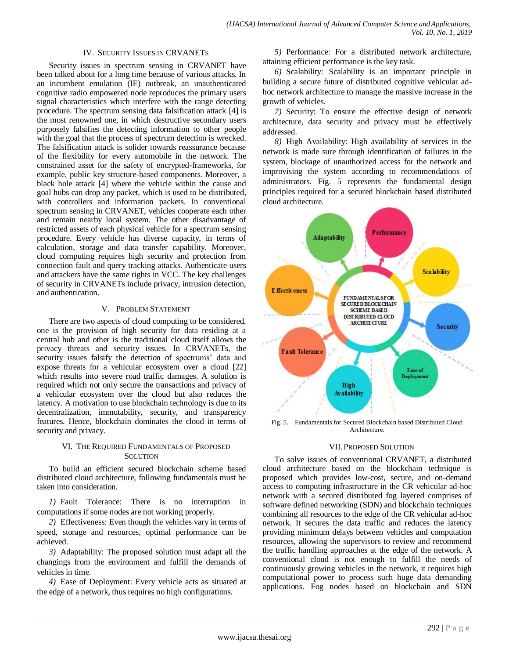#### IV. SECURITY ISSUES IN CRVANETS

Security issues in spectrum sensing in CRVANET have been talked about for a long time because of various attacks. In an incumbent emulation (IE) outbreak, an unauthenticated cognitive radio empowered node reproduces the primary users signal characteristics which interfere with the range detecting procedure. The spectrum sensing data falsification attack [4] is the most renowned one, in which destructive secondary users purposely falsifies the detecting information to other people with the goal that the process of spectrum detection is wrecked. The falsification attack is solider towards reassurance because of the flexibility for every automobile in the network. The constrained asset for the safety of encrypted-frameworks, for example, public key structure-based components. Moreover, a black hole attack [4] where the vehicle within the cause and goal hubs can drop any packet, which is used to be distributed, with controllers and information packets. In conventional spectrum sensing in CRVANET, vehicles cooperate each other and remain nearby local system. The other disadvantage of restricted assets of each physical vehicle for a spectrum sensing procedure. Every vehicle has diverse capacity, in terms of calculation, storage and data transfer capability. Moreover, cloud computing requires high security and protection from connection fault and query tracking attacks. Authenticate users and attackers have the same rights in VCC. The key challenges of security in CRVANETs include privacy, intrusion detection, and authentication.

#### V. PROBLEM STATEMENT

There are two aspects of cloud computing to be considered, one is the provision of high security for data residing at a central hub and other is the traditional cloud itself allows the privacy threats and security issues. In CRVANETs, the security issues falsify the detection of spectrums' data and expose threats for a vehicular ecosystem over a cloud [22] which results into severe road traffic damages. A solution is required which not only secure the transactions and privacy of a vehicular ecosystem over the cloud but also reduces the latency. A motivation to use blockchain technology is due to its decentralization, immutability, security, and transparency features. Hence, blockchain dominates the cloud in terms of security and privacy.

## VI. THE REQUIRED FUNDAMENTALS OF PROPOSED **SOLUTION**

To build an efficient secured blockchain scheme based distributed cloud architecture, following fundamentals must be taken into consideration.

*1)* Fault Tolerance: There is no interruption in computations if some nodes are not working properly.

*2)* Effectiveness: Even though the vehicles vary in terms of speed, storage and resources, optimal performance can be achieved.

*3)* Adaptability: The proposed solution must adapt all the changings from the environment and fulfill the demands of vehicles in time.

*4)* Ease of Deployment: Every vehicle acts as situated at the edge of a network, thus requires no high configurations.

*5)* Performance: For a distributed network architecture, attaining efficient performance is the key task.

*6)* Scalability: Scalability is an important principle in building a secure future of distributed cognitive vehicular adhoc network architecture to manage the massive increase in the growth of vehicles.

*7)* Security: To ensure the effective design of network architecture, data security and privacy must be effectively addressed.

*8)* High Availability: High availability of services in the network is made sure through identification of failures in the system, blockage of unauthorized access for the network and improvising the system according to recommendations of administrators. Fig. 5 represents the fundamental design principles required for a secured blockchain based distributed cloud architecture.



Fig. 5. Fundamentals for Secured Blockchain based Distributed Cloud Architecture.

#### VII.PROPOSED SOLUTION

To solve issues of conventional CRVANET, a distributed cloud architecture based on the blockchain technique is proposed which provides low-cost, secure, and on-demand access to computing infrastructure in the CR vehicular ad-hoc network with a secured distributed fog layered comprises of software defined networking (SDN) and blockchain techniques combining all resources to the edge of the CR vehicular ad-hoc network. It secures the data traffic and reduces the latency providing minimum delays between vehicles and computation resources, allowing the supervisors to review and recommend the traffic handling approaches at the edge of the network. A conventional cloud is not enough to fulfill the needs of continuously growing vehicles in the network, it requires high computational power to process such huge data demanding applications. Fog nodes based on blockchain and SDN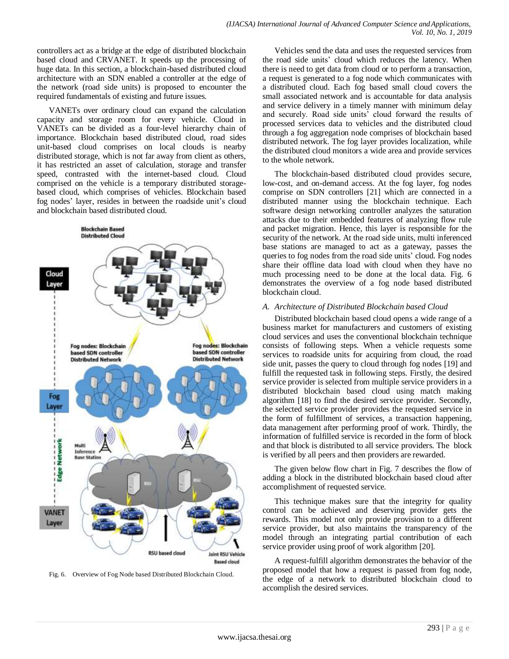controllers act as a bridge at the edge of distributed blockchain based cloud and CRVANET. It speeds up the processing of huge data. In this section, a blockchain-based distributed cloud architecture with an SDN enabled a controller at the edge of the network (road side units) is proposed to encounter the required fundamentals of existing and future issues.

VANETs over ordinary cloud can expand the calculation capacity and storage room for every vehicle. Cloud in VANETs can be divided as a four-level hierarchy chain of importance. Blockchain based distributed cloud, road sides unit-based cloud comprises on local clouds is nearby distributed storage, which is not far away from client as others, it has restricted an asset of calculation, storage and transfer speed, contrasted with the internet-based cloud. Cloud comprised on the vehicle is a temporary distributed storagebased cloud, which comprises of vehicles. Blockchain based fog nodes' layer, resides in between the roadside unit's cloud and blockchain based distributed cloud.



Fig. 6. Overview of Fog Node based Distributed Blockchain Cloud.

Vehicles send the data and uses the requested services from the road side units' cloud which reduces the latency. When there is need to get data from cloud or to perform a transaction, a request is generated to a fog node which communicates with a distributed cloud. Each fog based small cloud covers the small associated network and is accountable for data analysis and service delivery in a timely manner with minimum delay and securely. Road side units' cloud forward the results of processed services data to vehicles and the distributed cloud through a fog aggregation node comprises of blockchain based distributed network. The fog layer provides localization, while the distributed cloud monitors a wide area and provide services to the whole network.

The blockchain-based distributed cloud provides secure, low-cost, and on-demand access. At the fog layer, fog nodes comprise on SDN controllers [21] which are connected in a distributed manner using the blockchain technique. Each software design networking controller analyzes the saturation attacks due to their embedded features of analyzing flow rule and packet migration. Hence, this layer is responsible for the security of the network. At the road side units, multi inferenced base stations are managed to act as a gateway, passes the queries to fog nodes from the road side units' cloud. Fog nodes share their offline data load with cloud when they have no much processing need to be done at the local data. Fig. 6 demonstrates the overview of a fog node based distributed blockchain cloud.

#### *A. Architecture of Distributed Blockchain based Cloud*

Distributed blockchain based cloud opens a wide range of a business market for manufacturers and customers of existing cloud services and uses the conventional blockchain technique consists of following steps. When a vehicle requests some services to roadside units for acquiring from cloud, the road side unit, passes the query to cloud through fog nodes [19] and fulfill the requested task in following steps. Firstly, the desired service provider is selected from multiple service providers in a distributed blockchain based cloud using match making algorithm [18] to find the desired service provider. Secondly, the selected service provider provides the requested service in the form of fulfillment of services, a transaction happening, data management after performing proof of work. Thirdly, the information of fulfilled service is recorded in the form of block and that block is distributed to all service providers. The block is verified by all peers and then providers are rewarded.

The given below flow chart in Fig. 7 describes the flow of adding a block in the distributed blockchain based cloud after accomplishment of requested service.

This technique makes sure that the integrity for quality control can be achieved and deserving provider gets the rewards. This model not only provide provision to a different service provider, but also maintains the transparency of the model through an integrating partial contribution of each service provider using proof of work algorithm [20].

A request-fulfill algorithm demonstrates the behavior of the proposed model that how a request is passed from fog node, the edge of a network to distributed blockchain cloud to accomplish the desired services.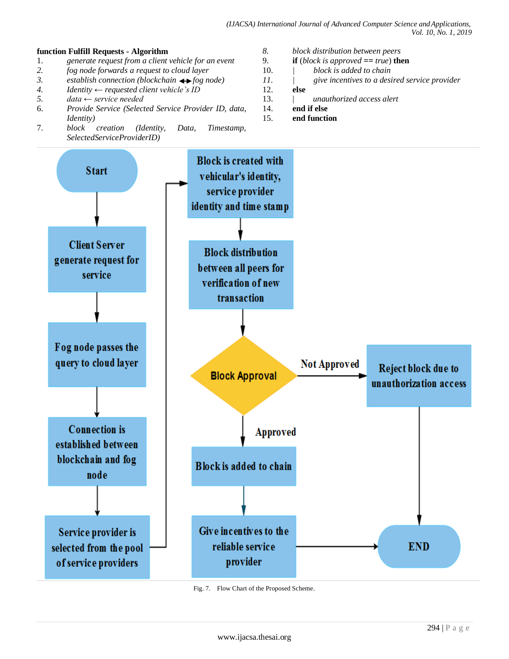## **function Fulfill Requests - Algorithm**

- 1. *generate request from a client vehicle for an event*
- *2. fog node forwards a request to cloud layer*
- 3. *establish connection (blockchain*  $\leftrightarrow$  *fog node)*
- *4. Identity ← requested client vehicle's ID*
- *5. data ← service needed*
- 6. *Provide Service (Selected Service Provider ID, data, Identity)*
- 7. *block creation (Identity, Data, Timestamp, SelectedServiceProviderID)*
- *8. block distribution between peers*
- **if** (*block is approved*  $=$  *<i>true*) **then**
- 10. *| block is added to chain*
- *11. | give incentives to a desired service provider*
- 12. **else**
- 13. | *unauthorized access alert*
- 14. **end if else**
- 15. **end function**



Fig. 7. Flow Chart of the Proposed Scheme.